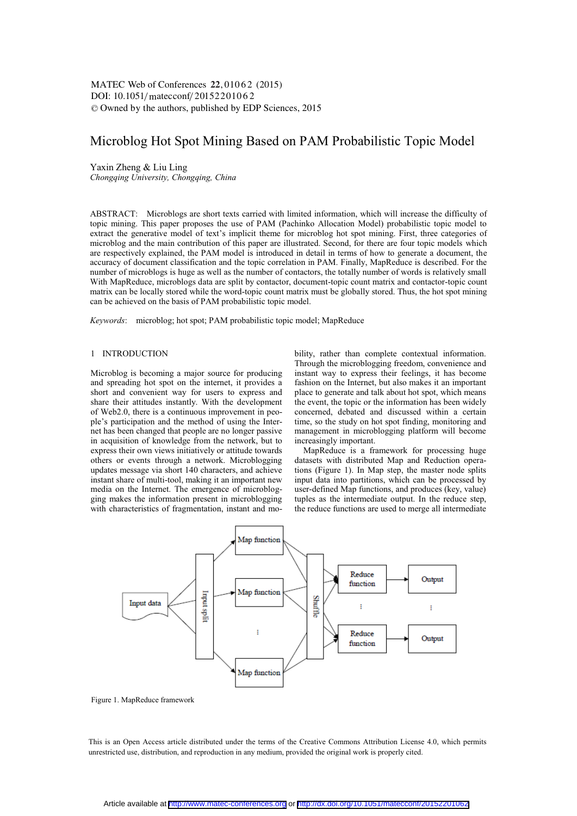DOI:  $10.1051/\text{mateconf}/20152201062$ -<sup>C</sup> Owned by the authors, published by EDP Sciences, 2015 MATEC Web of Conferences 22,01062 (2015)

# Microblog Hot Spot Mining Based on PAM Probabilistic Topic Model

Yaxin Zheng & Liu Ling *Chongqing University, Chongqing, China* 

ABSTRACT: Microblogs are short texts carried with limited information, which will increase the difficulty of topic mining. This paper proposes the use of PAM (Pachinko Allocation Model) probabilistic topic model to extract the generative model of text's implicit theme for microblog hot spot mining. First, three categories of microblog and the main contribution of this paper are illustrated. Second, for there are four topic models which are respectively explained, the PAM model is introduced in detail in terms of how to generate a document, the accuracy of document classification and the topic correlation in PAM. Finally, MapReduce is described. For the number of microblogs is huge as well as the number of contactors, the totally number of words is relatively small With MapReduce, microblogs data are split by contactor, document-topic count matrix and contactor-topic count matrix can be locally stored while the word-topic count matrix must be globally stored. Thus, the hot spot mining can be achieved on the basis of PAM probabilistic topic model.

*Keywords*: microblog; hot spot; PAM probabilistic topic model; MapReduce

## 1 INTRODUCTION

Microblog is becoming a major source for producing and spreading hot spot on the internet, it provides a short and convenient way for users to express and share their attitudes instantly. With the development of Web2.0, there is a continuous improvement in people's participation and the method of using the Internet has been changed that people are no longer passive in acquisition of knowledge from the network, but to express their own views initiatively or attitude towards others or events through a network. Microblogging updates message via short 140 characters, and achieve instant share of multi-tool, making it an important new media on the Internet. The emergence of microblogging makes the information present in microblogging with characteristics of fragmentation, instant and mobility, rather than complete contextual information. Through the microblogging freedom, convenience and instant way to express their feelings, it has become fashion on the Internet, but also makes it an important place to generate and talk about hot spot, which means the event, the topic or the information has been widely concerned, debated and discussed within a certain time, so the study on hot spot finding, monitoring and management in microblogging platform will become increasingly important.

MapReduce is a framework for processing huge datasets with distributed Map and Reduction operations (Figure 1). In Map step, the master node splits input data into partitions, which can be processed by user-defined Map functions, and produces (key, value) tuples as the intermediate output. In the reduce step, the reduce functions are used to merge all intermediate



Figure 1. MapReduce framework

This is an Open Access article distributed under the terms of the Creative Commons Attribution License 4.0, which permits unrestricted use, distribution, and reproduction in any medium, provided the original work is properly cited.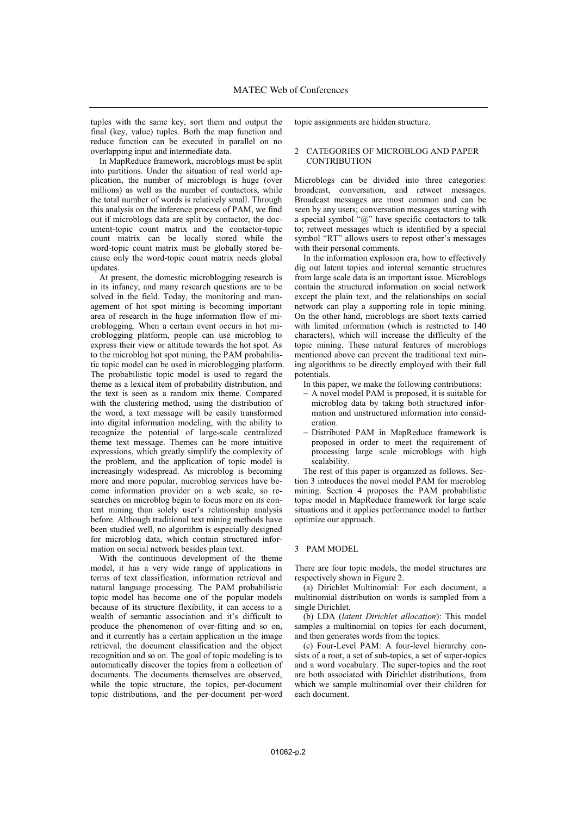tuples with the same key, sort them and output the final (key, value) tuples. Both the map function and reduce function can be executed in parallel on no overlapping input and intermediate data.

In MapReduce framework, microblogs must be split into partitions. Under the situation of real world application, the number of microblogs is huge (over millions) as well as the number of contactors, while the total number of words is relatively small. Through this analysis on the inference process of PAM, we find out if microblogs data are split by contactor, the document-topic count matrix and the contactor-topic count matrix can be locally stored while the word-topic count matrix must be globally stored because only the word-topic count matrix needs global updates.

At present, the domestic microblogging research is in its infancy, and many research questions are to be solved in the field. Today, the monitoring and management of hot spot mining is becoming important area of research in the huge information flow of microblogging. When a certain event occurs in hot microblogging platform, people can use microblog to express their view or attitude towards the hot spot. As to the microblog hot spot mining, the PAM probabilistic topic model can be used in microblogging platform. The probabilistic topic model is used to regard the theme as a lexical item of probability distribution, and the text is seen as a random mix theme. Compared with the clustering method, using the distribution of the word, a text message will be easily transformed into digital information modeling, with the ability to recognize the potential of large-scale centralized theme text message. Themes can be more intuitive expressions, which greatly simplify the complexity of the problem, and the application of topic model is increasingly widespread. As microblog is becoming more and more popular, microblog services have become information provider on a web scale, so researches on microblog begin to focus more on its content mining than solely user's relationship analysis before. Although traditional text mining methods have been studied well, no algorithm is especially designed for microblog data, which contain structured information on social network besides plain text.

With the continuous development of the theme model, it has a very wide range of applications in terms of text classification, information retrieval and natural language processing. The PAM probabilistic topic model has become one of the popular models because of its structure flexibility, it can access to a wealth of semantic association and it's difficult to produce the phenomenon of over-fitting and so on, and it currently has a certain application in the image retrieval, the document classification and the object recognition and so on. The goal of topic modeling is to automatically discover the topics from a collection of documents. The documents themselves are observed, while the topic structure, the topics, per-document topic distributions, and the per-document per-word

topic assignments are hidden structure.

## 2 CATEGORIES OF MICROBLOG AND PAPER **CONTRIBUTION**

Microblogs can be divided into three categories: broadcast, conversation, and retweet messages. Broadcast messages are most common and can be seen by any users; conversation messages starting with a special symbol " $\omega$ " have specific contactors to talk to; retweet messages which is identified by a special symbol "RT" allows users to repost other's messages with their personal comments.

In the information explosion era, how to effectively dig out latent topics and internal semantic structures from large scale data is an important issue. Microblogs contain the structured information on social network except the plain text, and the relationships on social network can play a supporting role in topic mining. On the other hand, microblogs are short texts carried with limited information (which is restricted to 140 characters), which will increase the difficulty of the topic mining. These natural features of microblogs mentioned above can prevent the traditional text mining algorithms to be directly employed with their full potentials.

In this paper, we make the following contributions:

- A novel model PAM is proposed, it is suitable for microblog data by taking both structured information and unstructured information into consideration.
- Distributed PAM in MapReduce framework is proposed in order to meet the requirement of processing large scale microblogs with high scalability.

The rest of this paper is organized as follows. Section 3 introduces the novel model PAM for microblog mining. Section 4 proposes the PAM probabilistic topic model in MapReduce framework for large scale situations and it applies performance model to further optimize our approach.

#### 3 PAM MODEL

There are four topic models, the model structures are respectively shown in Figure 2.

(a) Dirichlet Multinomial: For each document, a multinomial distribution on words is sampled from a single Dirichlet.

(b) LDA (*latent Dirichlet allocation*): This model samples a multinomial on topics for each document, and then generates words from the topics.

(c) Four-Level PAM: A four-level hierarchy consists of a root, a set of sub-topics, a set of super-topics and a word vocabulary. The super-topics and the root are both associated with Dirichlet distributions, from which we sample multinomial over their children for each document.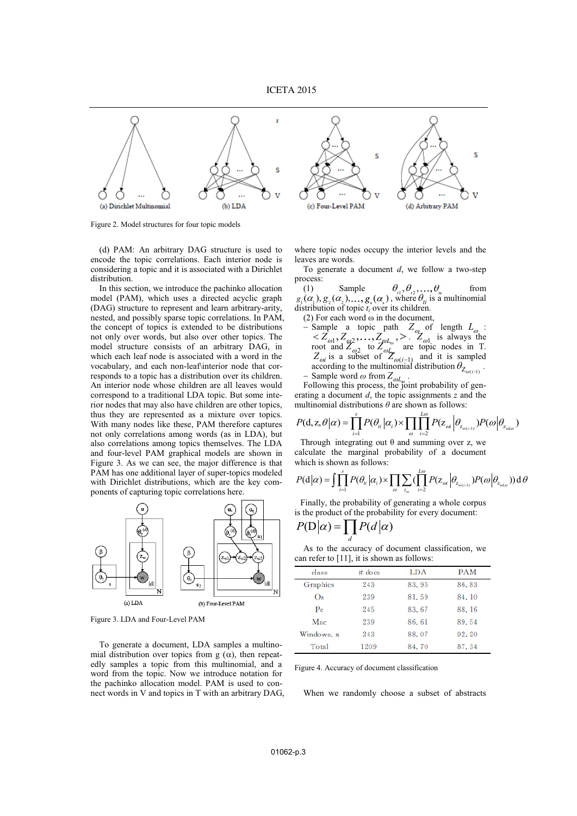

Figure 2. Model structures for four topic models

(d) PAM: An arbitrary DAG structure is used to encode the topic correlations. Each interior node is considering a topic and it is associated with a Dirichlet distribution.

In this section, we introduce the pachinko allocation model (PAM), which uses a directed acyclic graph (DAG) structure to represent and learn arbitrary-arity, nested, and possibly sparse topic correlations. In PAM, the concept of topics is extended to be distributions not only over words, but also over other topics. The model structure consists of an arbitrary DAG, in which each leaf node is associated with a word in the vocabulary, and each non-leaf\interior node that corresponds to a topic has a distribution over its children. An interior node whose children are all leaves would correspond to a traditional LDA topic. But some interior nodes that may also have children are other topics, thus they are represented as a mixture over topics. With many nodes like these, PAM therefore captures not only correlations among words (as in LDA), but also correlations among topics themselves. The LDA and four-level PAM graphical models are shown in Figure 3. As we can see, the major difference is that PAM has one additional layer of super-topics modeled with Dirichlet distributions, which are the key components of capturing topic correlations here.



Figure 3. LDA and Four-Level PAM

To generate a document, LDA samples a multinomial distribution over topics from g  $(\alpha)$ , then repeatedly samples a topic from this multinomial, and a word from the topic. Now we introduce notation for the pachinko allocation model. PAM is used to connect words in V and topics in T with an arbitrary DAG, where topic nodes occupy the interior levels and the leaves are words.

To generate a document *d*, we follow a two-step process:

(1) Sample  $\theta_{i_1}, \theta_{i_2}, \ldots, \theta_{i_s}$  from  $g_1(\alpha_1), g_2(\alpha_2), \ldots, g_s(\alpha_s)$ , where  $\theta_{ti}$  is a multinomial distribution of topic  $t_i$  over its children.

(2) For each word  $\omega$  in the document,

- Sample a topic path  $Z_{\omega}$  of length  $L_{\omega}$ :<br>  $\langle Z_{\omega 1}, Z_{\omega 2},..., Z_{\omega L_{\omega}} \rangle$  >  $\cdot$   $Z_{\omega 1}$  is always the root and  $Z_{\omega_2}$  to  $Z_{\omega L_{\omega}}^{\omega_{\omega}}$  are topic nodes in T.  $Z_{\omega i}$  is a subset of  $Z_{\omega(i-1)}$  and it is sampled according to the multinomial distribution  $\theta_{Z_{\omega(i-1)}}$ . - Sample word  $\omega$  from  $Z_{\omega L_{\omega}}$ .<br>Following this process, the joint probability of gen-

erating a document *d*, the topic assignments *z* and the multinomial distributions *θ* are shown as follows:

$$
P(\mathbf{d}, \mathbf{z}, \theta | \alpha) = \prod_{i=1}^{s} P(\theta_{i} | \alpha_{i}) \times \prod_{\omega} \prod_{i=2}^{L\omega} P(\mathbf{z}_{\omega i} | \theta_{\mathbf{z}_{\omega(i-1)}}) P(\omega | \theta_{\mathbf{z}_{\omega L\omega}})
$$

Through integrating out  $\theta$  and summing over z, we calculate the marginal probability of a document which is shown as follows:

$$
P(\mathbf{d}|\alpha) = \int \prod_{i=1}^{s} P(\theta_{ii}|\alpha_i) \times \prod_{\omega} \sum_{z_{\omega}} (\prod_{i=2}^{L\omega} P(z_{\omega i}|\theta_{z_{\omega(i-1)}}) P(\omega|\theta_{z_{\omega L\omega}})) \, d\theta
$$

Finally, the probability of generating a whole corpus is the product of the probability for every document:

$$
P(D|\alpha) = \prod_{d} P(d|\alpha)
$$

As to the accuracy of document classification, we can refer to [11], it is shown as follows:

| class      | $#$ docs | LDA   | <b>PAM</b> |
|------------|----------|-------|------------|
| Graphics   | 243      | 83.95 | 86.83      |
| Os         | 239      | 81.59 | 84.10      |
| Рc         | 245      | 83.67 | 88.16      |
| Mac        | 239      | 86.61 | 89.54      |
| Windows, x | 243      | 88.07 | 92.20      |
| Total      | 1209     | 84.70 | 87.34      |

Figure 4. Accuracy of document classification

When we randomly choose a subset of abstracts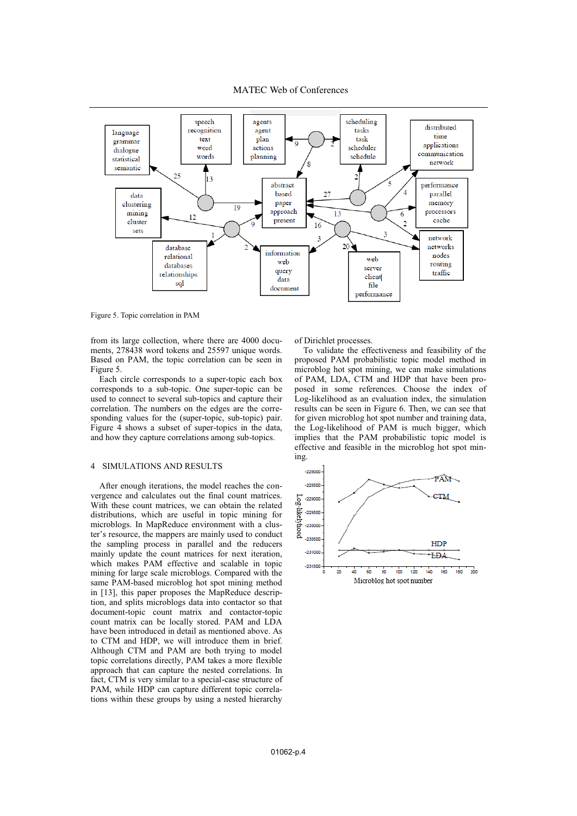

Figure 5. Topic correlation in PAM

from its large collection, where there are 4000 documents, 278438 word tokens and 25597 unique words. Based on PAM, the topic correlation can be seen in Figure 5.

Each circle corresponds to a super-topic each box corresponds to a sub-topic. One super-topic can be used to connect to several sub-topics and capture their correlation. The numbers on the edges are the corresponding values for the (super-topic, sub-topic) pair. Figure 4 shows a subset of super-topics in the data, and how they capture correlations among sub-topics.

## 4 SIMULATIONS AND RESULTS

After enough iterations, the model reaches the convergence and calculates out the final count matrices. With these count matrices, we can obtain the related distributions, which are useful in topic mining for microblogs. In MapReduce environment with a cluster's resource, the mappers are mainly used to conduct the sampling process in parallel and the reducers mainly update the count matrices for next iteration, which makes PAM effective and scalable in topic mining for large scale microblogs. Compared with the same PAM-based microblog hot spot mining method in [13], this paper proposes the MapReduce description, and splits microblogs data into contactor so that document-topic count matrix and contactor-topic count matrix can be locally stored. PAM and LDA have been introduced in detail as mentioned above. As to CTM and HDP, we will introduce them in brief. Although CTM and PAM are both trying to model topic correlations directly, PAM takes a more flexible approach that can capture the nested correlations. In fact, CTM is very similar to a special-case structure of PAM, while HDP can capture different topic correlations within these groups by using a nested hierarchy

of Dirichlet processes.

To validate the effectiveness and feasibility of the proposed PAM probabilistic topic model method in microblog hot spot mining, we can make simulations of PAM, LDA, CTM and HDP that have been proposed in some references. Choose the index of Log-likelihood as an evaluation index, the simulation results can be seen in Figure 6. Then, we can see that for given microblog hot spot number and training data, the Log-likelihood of PAM is much bigger, which implies that the PAM probabilistic topic model is effective and feasible in the microblog hot spot mining.